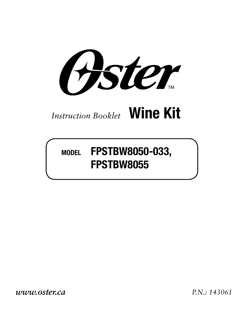Aster

### *Instruction Booklet* **Wine Kit**

### **MODEL FPSTBW8050-033, FPSTBW8055**

*www.oster.ca P.N.: 143061*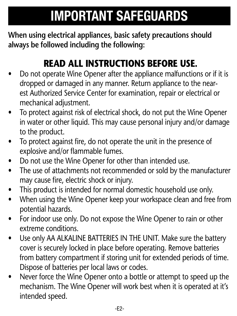## **IMPORTANT SAFEGUARDS**

**When using electrical appliances, basic safety precautions should always be followed including the following:**

### **READ ALL INSTRUCTIONS BEFORE USE.**

- Do not operate Wine Opener after the appliance malfunctions or if it is dropped or damaged in any manner. Return appliance to the nearest Authorized Service Center for examination, repair or electrical or mechanical adjustment.
- To protect against risk of electrical shock, do not put the Wine Opener in water or other liquid. This may cause personal injury and/or damage to the product.
- To protect against fire, do not operate the unit in the presence of explosive and/or flammable fumes.
- Do not use the Wine Opener for other than intended use.
- The use of attachments not recommended or sold by the manufacturer may cause fire, electric shock or injury.
- This product is intended for normal domestic household use only.
- When using the Wine Opener keep your workspace clean and free from potential hazards.
- For indoor use only. Do not expose the Wine Opener to rain or other extreme conditions.
- Use only AA ALKALINE BATTERIES IN THE UNIT. Make sure the battery cover is securely locked in place before operating. Remove batteries from battery compartment if storing unit for extended periods of time. Dispose of batteries per local laws or codes.
- Never force the Wine Opener onto a bottle or attempt to speed up the mechanism. The Wine Opener will work best when it is operated at it's intended speed.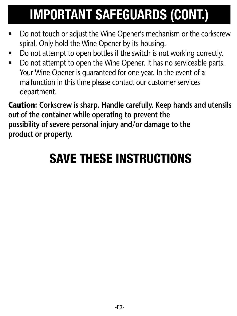# **IMPORTANT SAFEGUARDS (CONT.)**

- Do not touch or adjust the Wine Opener's mechanism or the corkscrew spiral. Only hold the Wine Opener by its housing.
- Do not attempt to open bottles if the switch is not working correctly.
- Do not attempt to open the Wine Opener. It has no serviceable parts. Your Wine Opener is guaranteed for one year. In the event of a malfunction in this time please contact our customer services department.

**Caution: Corkscrew is sharp. Handle carefully. Keep hands and utensils out of the container while operating to prevent the possibility of severe personal injury and/or damage to the product or property.**

### SAVE THESE INSTRUCTIONS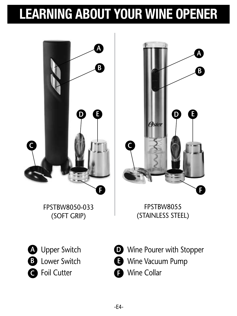# **LEARNING ABOUT YOUR WINE OPENER**

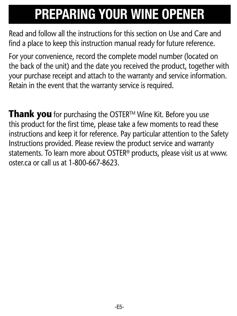## **PREPARING YOUR WINE OPENER**

Read and follow all the instructions for this section on Use and Care and find a place to keep this instruction manual ready for future reference.

For your convenience, record the complete model number (located on the back of the unit) and the date you received the product, together with your purchase receipt and attach to the warranty and service information. Retain in the event that the warranty service is required.

**Thank you** for purchasing the OSTER™ Wine Kit. Before you use this product for the first time, please take a few moments to read these instructions and keep it for reference. Pay particular attention to the Safety Instructions provided. Please review the product service and warranty statements. To learn more about OSTER® products, please visit us at www. oster.ca or call us at 1-800-667-8623.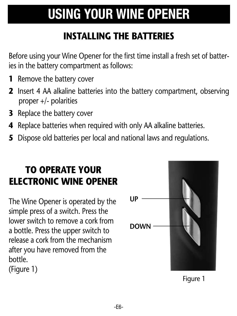# **USING YOUR WINE OPENER**

### **INSTALLING THE BATTERIES**

Before using your Wine Opener for the first time install a fresh set of batteries in the battery compartment as follows:

- **1** Remove the battery cover
- **2** Insert 4 AA alkaline batteries into the battery compartment, observing proper +/- polarities
- **3** Replace the battery cover
- **4** Replace batteries when required with only AA alkaline batteries.
- **5** Dispose old batteries per local and national laws and regulations.

### **TO OPERATE YOUR ELECTRONIC WINE OPENER**

The Wine Opener is operated by the simple press of a switch. Press the lower switch to remove a cork from a bottle. Press the upper switch to release a cork from the mechanism after you have removed from the bottle.

(Figure 1)



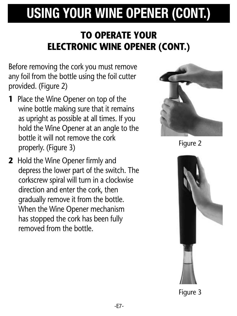# **USING YOUR WINE OPENER (CONT.)**

### **TO OPERATE YOUR ELECTRONIC WINE OPENER (CONT.)**

Before removing the cork you must remove any foil from the bottle using the foil cutter provided. (Figure 2)

- **1** Place the Wine Opener on top of the wine bottle making sure that it remains as upright as possible at all times. If you hold the Wine Opener at an angle to the bottle it will not remove the cork properly. (Figure 3)
- **2** Hold the Wine Opener firmly and depress the lower part of the switch. The corkscrew spiral will turn in a clockwise direction and enter the cork, then gradually remove it from the bottle. When the Wine Opener mechanism has stopped the cork has been fully removed from the bottle.



Figure 2



Figure 3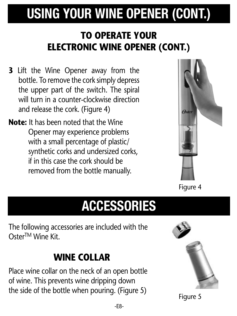# **USING YOUR WINE OPENER (CONT.)**

### **TO OPERATE YOUR ELECTRONIC WINE OPENER (CONT.)**

- **3** Lift the Wine Opener away from the bottle. To remove the cork simply depress the upper part of the switch. The spiral will turn in a counter-clockwise direction and release the cork. (Figure 4)
- **Note:** It has been noted that the Wine Opener may experience problems with a small percentage of plastic/ synthetic corks and undersized corks, if in this case the cork should be removed from the bottle manually.



Figure 4

### **ACCESSORIES**

The following accessories are included with the OsterTM Wine Kit.

### **WINE COLLAR**

Place wine collar on the neck of an open bottle of wine. This prevents wine dripping down the side of the bottle when pouring. (Figure 5)



Figure 5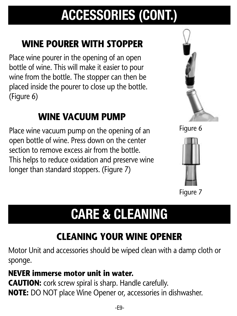# **ACCESSORIES (CONT.)**

### **WINE POURER WITH STOPPER**

Place wine pourer in the opening of an open bottle of wine. This will make it easier to pour wine from the bottle. The stopper can then be placed inside the pourer to close up the bottle. (Figure 6)

### **WINE VACUUM PUMP**

Place wine vacuum pump on the opening of an open bottle of wine. Press down on the center section to remove excess air from the bottle. This helps to reduce oxidation and preserve wine longer than standard stoppers. (Figure 7)





#### Figure 7

## **CARE & CLEANING**

### **CLEANING YOUR WINE OPENER**

Motor Unit and accessories should be wiped clean with a damp cloth or sponge.

#### **NEVER immerse motor unit in water.**

**CAUTION:** cork screw spiral is sharp. Handle carefully. **NOTE:** DO NOT place Wine Opener or, accessories in dishwasher.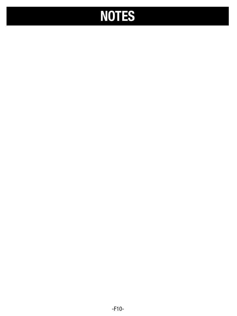# **NOTES**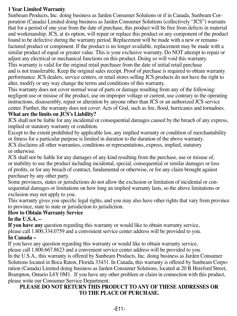#### **1 Year Limited Warranty**

Sunbeam Products, Inc. doing business as Jarden Consumer Solutions or if in Canada, Sunbeam Corporation (Canada) Limited doing business as Jarden Consumer Solutions (collectively "JCS") warrants that for a period of one year from the date of purchase, this product will be free from defects in material and workmanship. JCS, at its option, will repair or replace this product or any component of the product found to be defective during the warranty period. Replacement will be made with a new or remanufactured product or component. If the product is no longer available, replacement may be made with a similar product of equal or greater value. This is your exclusive warranty. Do NOT attempt to repair or adjust any electrical or mechanical functions on this product. Doing so will void this warranty. This warranty is valid for the original retail purchaser from the date of initial retail purchase and is not transferable. Keep the original sales receipt. Proof of purchase is required to obtain warranty performance. JCS dealers, service centers, or retail stores selling JCS products do not have the right to alter, modify or any way change the terms and conditions of this warranty.

This warranty does not cover normal wear of parts or damage resulting from any of the following: negligent use or misuse of the product, use on improper voltage or current, use contrary to the operating instructions, disassembly, repair or alteration by anyone other than JCS or an authorized JCS service center. Further, the warranty does not cover: Acts of God, such as fire, flood, hurricanes and tornadoes.

#### **What are the limits on JCS's Liability?**

JCS shall not be liable for any incidental or consequential damages caused by the breach of any express, implied or statutory warranty or condition.

Except to the extent prohibited by applicable law, any implied warranty or condition of merchantability or fitness for a particular purpose is limited in duration to the duration of the above warranty. JCS disclaims all other warranties, conditions or representations, express, implied, statutory or otherwise.

JCS shall not be liable for any damages of any kind resulting from the purchase, use or misuse of, or inability to use the product including incidental, special, consequential or similar damages or loss of profits, or for any breach of contract, fundamental or otherwise, or for any claim brought against purchaser by any other party.

Some provinces, states or jurisdictions do not allow the exclusion or limitation of incidental or consequential damages or limitations on how long an implied warranty lasts, so the above limitations or exclusion may not apply to you.

This warranty gives you specific legal rights, and you may also have other rights that vary from province to province, state to state or jurisdiction to jurisdiction.

#### **How to Obtain Warranty Service**

**In the U.S.A. –**

**If you have any** question regarding this warranty or would like to obtain warranty service, please call 1.800.334.0759 and a convenient service center address will be provided to you. **In Canada –**

If you have any question regarding this warranty or would like to obtain warranty service,

please call 1.800.667.8623 and a convenient service center address will be provided to you.

In the U.S.A., this warranty is offered by Sunbeam Products, Inc. doing business as Jarden Consumer Solutions located in Boca Raton, Florida 33431. In Canada, this warranty is offered by Sunbeam Corporation (Canada) Limited doing business as Jarden Consumer Solutions, located at 20 B Hereford Street, Brampton, Ontario L6Y 0M1. If you have any other problem or claim in connection with this product, please write our Consumer Service Department.

#### **PLEASE DO NOT RETURN THIS PRODUCT TO ANY OF THESE ADDRESSES OR TO THE PLACE OF PURCHASE.**